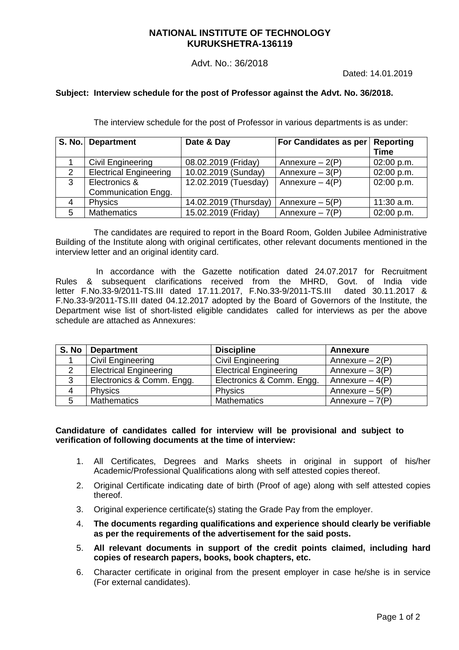#### Advt. No.: 36/2018

Dated: 14.01.2019

#### **Subject: Interview schedule for the post of Professor against the Advt. No. 36/2018.**

The interview schedule for the post of Professor in various departments is as under:

|   | S. No. Department             | Date & Day            | For Candidates as per | Reporting<br><b>Time</b> |
|---|-------------------------------|-----------------------|-----------------------|--------------------------|
|   |                               |                       |                       |                          |
|   | Civil Engineering             | 08.02.2019 (Friday)   | Annexure $-2(P)$      | 02:00 p.m.               |
| 2 | <b>Electrical Engineering</b> | 10.02.2019 (Sunday)   | Annexure $-3(P)$      | 02:00 p.m.               |
| 3 | Electronics &                 | 12.02.2019 (Tuesday)  | Annexure $-4(P)$      | 02:00 p.m.               |
|   | Communication Engg.           |                       |                       |                          |
| 4 | <b>Physics</b>                | 14.02.2019 (Thursday) | Annexure $-5(P)$      | $11:30$ a.m.             |
| 5 | <b>Mathematics</b>            | 15.02.2019 (Friday)   | Annexure $-7(P)$      | 02:00 p.m.               |

The candidates are required to report in the Board Room, Golden Jubilee Administrative Building of the Institute along with original certificates, other relevant documents mentioned in the interview letter and an original identity card.

 In accordance with the Gazette notification dated 24.07.2017 for Recruitment Rules & subsequent clarifications received from the MHRD, Govt. of India vide<br>letter F.No.33-9/2011-TS.III dated 17.11.2017, F.No.33-9/2011-TS.III dated 30.11.2017 & letter F.No.33-9/2011-TS.III dated 17.11.2017, F.No.33-9/2011-TS.III F.No.33-9/2011-TS.III dated 04.12.2017 adopted by the Board of Governors of the Institute, the Department wise list of short-listed eligible candidates called for interviews as per the above schedule are attached as Annexures:

| S. No | <b>Department</b>             | <b>Discipline</b>             | <b>Annexure</b>  |
|-------|-------------------------------|-------------------------------|------------------|
|       | Civil Engineering             | <b>Civil Engineering</b>      | Annexure $-2(P)$ |
|       | <b>Electrical Engineering</b> | <b>Electrical Engineering</b> | Annexure $-3(P)$ |
| 3     | Electronics & Comm. Engg.     | Electronics & Comm. Engg.     | Annexure $-4(P)$ |
| 4     | <b>Physics</b>                | Physics                       | Annexure $-5(P)$ |
|       | <b>Mathematics</b>            | <b>Mathematics</b>            | Annexure $-7(P)$ |

#### **Candidature of candidates called for interview will be provisional and subject to verification of following documents at the time of interview:**

- 1. All Certificates, Degrees and Marks sheets in original in support of his/her Academic/Professional Qualifications along with self attested copies thereof.
- 2. Original Certificate indicating date of birth (Proof of age) along with self attested copies thereof.
- 3. Original experience certificate(s) stating the Grade Pay from the employer.
- 4. **The documents regarding qualifications and experience should clearly be verifiable as per the requirements of the advertisement for the said posts.**
- 5. **All relevant documents in support of the credit points claimed, including hard copies of research papers, books, book chapters, etc.**
- 6. Character certificate in original from the present employer in case he/she is in service (For external candidates).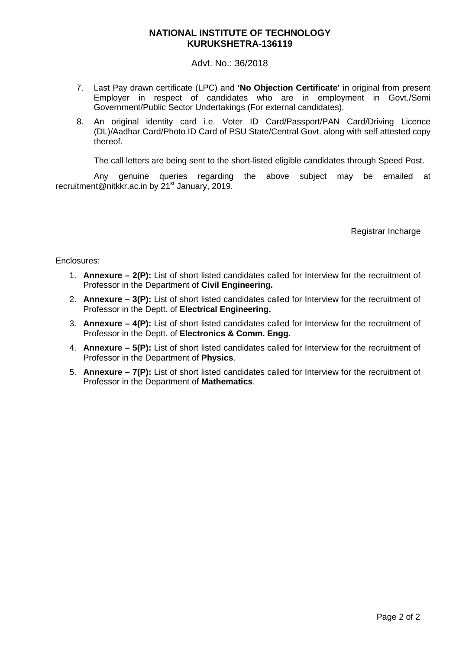Advt. No.: 36/2018

- 7. Last Pay drawn certificate (LPC) and **'No Objection Certificate'** in original from present Employer in respect of candidates who are in employment in Govt./Semi Government/Public Sector Undertakings (For external candidates).
- 8. An original identity card i.e. Voter ID Card/Passport/PAN Card/Driving Licence (DL)/Aadhar Card/Photo ID Card of PSU State/Central Govt. along with self attested copy thereof.

The call letters are being sent to the short-listed eligible candidates through Speed Post.

Any genuine queries regarding the above subject may be emailed at recruitment@nitkkr.ac.in by 21<sup>st</sup> January, 2019.

Registrar Incharge

Enclosures:

- 1. **Annexure 2(P):** List of short listed candidates called for Interview for the recruitment of Professor in the Department of **Civil Engineering.**
- 2. **Annexure 3(P):** List of short listed candidates called for Interview for the recruitment of Professor in the Deptt. of **Electrical Engineering.**
- 3. **Annexure 4(P):** List of short listed candidates called for Interview for the recruitment of Professor in the Deptt. of **Electronics & Comm. Engg.**
- 4. **Annexure 5(P):** List of short listed candidates called for Interview for the recruitment of Professor in the Department of **Physics**.
- 5. **Annexure 7(P):** List of short listed candidates called for Interview for the recruitment of Professor in the Department of **Mathematics**.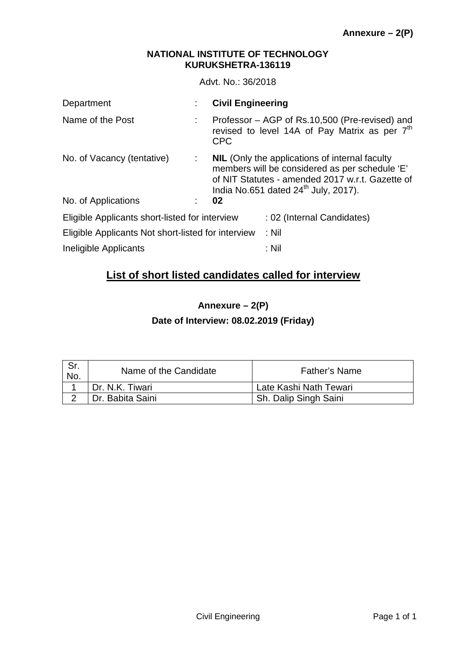Advt. No.: 36/2018

| Department                                         |   | <b>Civil Engineering</b>                                                                                                                                                                                        |
|----------------------------------------------------|---|-----------------------------------------------------------------------------------------------------------------------------------------------------------------------------------------------------------------|
| Name of the Post                                   |   | Professor – AGP of Rs.10,500 (Pre-revised) and<br>revised to level 14A of Pay Matrix as per 7 <sup>th</sup><br><b>CPC</b>                                                                                       |
| No. of Vacancy (tentative)                         | ÷ | <b>NIL</b> (Only the applications of internal faculty<br>members will be considered as per schedule 'E'<br>of NIT Statutes - amended 2017 w.r.t. Gazette of<br>India No.651 dated 24 <sup>th</sup> July, 2017). |
| No. of Applications                                |   | 02                                                                                                                                                                                                              |
| Eligible Applicants short-listed for interview     |   | : 02 (Internal Candidates)                                                                                                                                                                                      |
| Eligible Applicants Not short-listed for interview |   | $:$ Nil                                                                                                                                                                                                         |
| Ineligible Applicants                              |   | : Nil                                                                                                                                                                                                           |

## **List of short listed candidates called for interview**

**Annexure – 2(P)** 

**Date of Interview: 08.02.2019 (Friday)** 

| Sr.<br>No. | Name of the Candidate | <b>Father's Name</b>   |
|------------|-----------------------|------------------------|
|            | Dr. N.K. Tiwari       | Late Kashi Nath Tewari |
|            | Dr. Babita Saini      | Sh. Dalip Singh Saini  |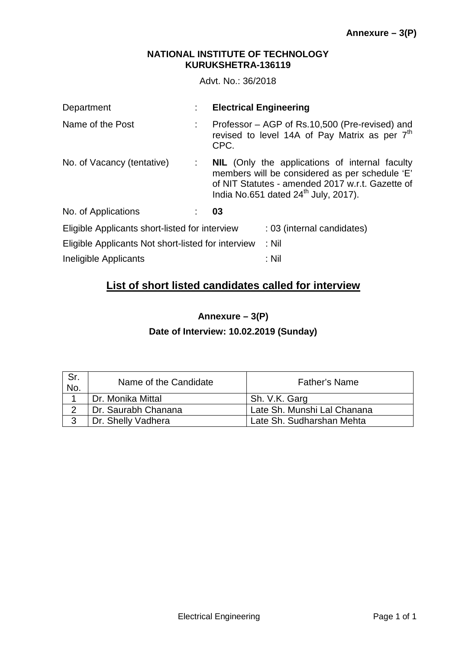Advt. No.: 36/2018

| Department                                         |                                   | <b>Electrical Engineering</b>                                                                                                                                                                                   |
|----------------------------------------------------|-----------------------------------|-----------------------------------------------------------------------------------------------------------------------------------------------------------------------------------------------------------------|
| Name of the Post                                   |                                   | Professor – AGP of Rs.10,500 (Pre-revised) and<br>revised to level 14A of Pay Matrix as per 7 <sup>th</sup><br>CPC.                                                                                             |
| No. of Vacancy (tentative)                         | $\mathcal{L} \subset \mathcal{L}$ | <b>NIL</b> (Only the applications of internal faculty<br>members will be considered as per schedule 'E'<br>of NIT Statutes - amended 2017 w.r.t. Gazette of<br>India No.651 dated $24^{\text{th}}$ July, 2017). |
| No. of Applications                                |                                   | 03                                                                                                                                                                                                              |
| Eligible Applicants short-listed for interview     |                                   | : 03 (internal candidates)                                                                                                                                                                                      |
| Eligible Applicants Not short-listed for interview |                                   | $:$ Nil                                                                                                                                                                                                         |
| Ineligible Applicants                              |                                   | : Nil                                                                                                                                                                                                           |

# **List of short listed candidates called for interview**

**Annexure – 3(P)** 

**Date of Interview: 10.02.2019 (Sunday)** 

| Sr.<br>No. | Name of the Candidate | <b>Father's Name</b>        |
|------------|-----------------------|-----------------------------|
|            | Dr. Monika Mittal     | Sh. V.K. Garg               |
| റ          | Dr. Saurabh Chanana   | Late Sh. Munshi Lal Chanana |
| າ          | Dr. Shelly Vadhera    | Late Sh. Sudharshan Mehta   |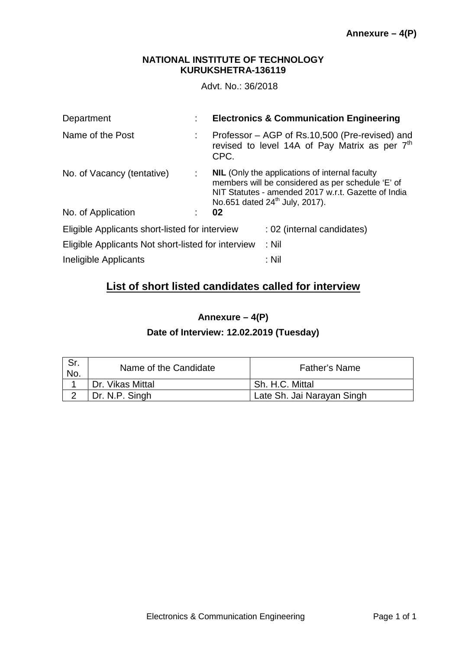Advt. No.: 36/2018

| Department                                         | <b>Electronics &amp; Communication Engineering</b>                                                                                                                                                              |
|----------------------------------------------------|-----------------------------------------------------------------------------------------------------------------------------------------------------------------------------------------------------------------|
| Name of the Post                                   | Professor - AGP of Rs.10,500 (Pre-revised) and<br>revised to level 14A of Pay Matrix as per 7 <sup>th</sup><br>CPC.                                                                                             |
| No. of Vacancy (tentative)<br>÷.                   | <b>NIL</b> (Only the applications of internal faculty<br>members will be considered as per schedule 'E' of<br>NIT Statutes - amended 2017 w.r.t. Gazette of India<br>No.651 dated 24 <sup>th</sup> July, 2017). |
| No. of Application                                 | 02                                                                                                                                                                                                              |
| Eligible Applicants short-listed for interview     | : 02 (internal candidates)                                                                                                                                                                                      |
| Eligible Applicants Not short-listed for interview | $:$ Nil                                                                                                                                                                                                         |
| Ineligible Applicants                              | $:$ Nil                                                                                                                                                                                                         |

## **List of short listed candidates called for interview**

**Annexure – 4(P)** 

### **Date of Interview: 12.02.2019 (Tuesday)**

| Sr.<br>No. | Name of the Candidate | <b>Father's Name</b>       |
|------------|-----------------------|----------------------------|
|            | Dr. Vikas Mittal      | Sh. H.C. Mittal            |
|            | Dr. N.P. Singh        | Late Sh. Jai Narayan Singh |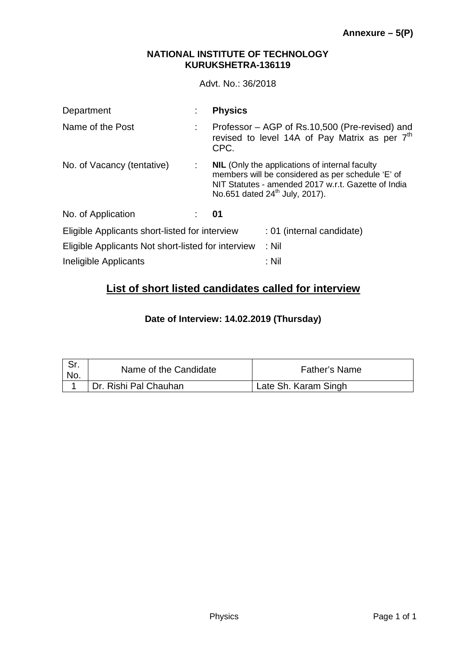Advt. No.: 36/2018

| Department                                         |    | <b>Physics</b>                                                                                                                                                                                                  |
|----------------------------------------------------|----|-----------------------------------------------------------------------------------------------------------------------------------------------------------------------------------------------------------------|
| Name of the Post                                   |    | Professor – AGP of Rs.10,500 (Pre-revised) and<br>revised to level 14A of Pay Matrix as per 7 <sup>th</sup><br>CPC.                                                                                             |
| No. of Vacancy (tentative)                         | ÷. | <b>NIL</b> (Only the applications of internal faculty<br>members will be considered as per schedule 'E' of<br>NIT Statutes - amended 2017 w.r.t. Gazette of India<br>No.651 dated 24 <sup>th</sup> July, 2017). |
| No. of Application                                 |    | 01                                                                                                                                                                                                              |
| Eligible Applicants short-listed for interview     |    | : 01 (internal candidate)                                                                                                                                                                                       |
| Eligible Applicants Not short-listed for interview |    | $:$ Nil                                                                                                                                                                                                         |
| Ineligible Applicants                              |    | :Nil                                                                                                                                                                                                            |

# **List of short listed candidates called for interview**

**Date of Interview: 14.02.2019 (Thursday)** 

| No. | Name of the Candidate | <b>Father's Name</b> |
|-----|-----------------------|----------------------|
|     | Dr. Rishi Pal Chauhan | Late Sh. Karam Singh |